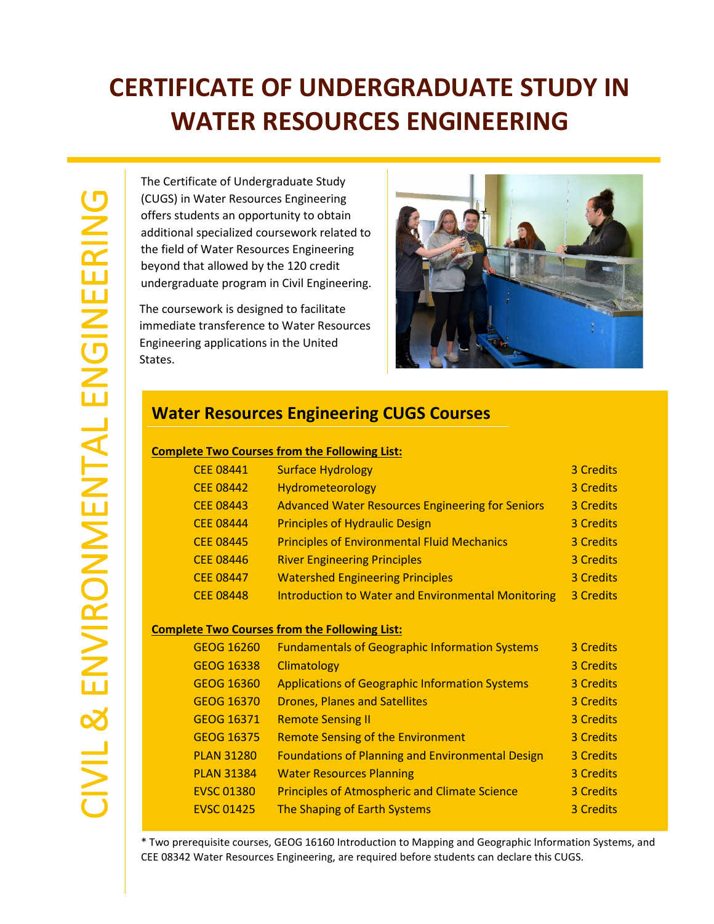## **CERTIFICATE OF UNDERGRADUATE STUDY IN WATER RESOURCES ENGINEERING**

The Certificate of Undergraduate Study (CUGS) in Water Resources Engineering offers students an opportunity to obtain additional specialized coursework related to the field of Water Resources Engineering beyond that allowed by the 120 credit undergraduate program in Civil Engineering.

The coursework is designed to facilitate immediate transference to Water Resources Engineering applications in the United States.



### **Water Resources Engineering CUGS Courses**

#### **Complete Two Courses from the Following List:**

| <b>CEE 08441</b> | <b>Surface Hydrology</b>                                  | 3 Credits |
|------------------|-----------------------------------------------------------|-----------|
| <b>CEE 08442</b> | Hydrometeorology                                          | 3 Credits |
| <b>CEE 08443</b> | <b>Advanced Water Resources Engineering for Seniors</b>   | 3 Credits |
| <b>CEE 08444</b> | <b>Principles of Hydraulic Design</b>                     | 3 Credits |
| <b>CEE 08445</b> | <b>Principles of Environmental Fluid Mechanics</b>        | 3 Credits |
| <b>CEE 08446</b> | <b>River Engineering Principles</b>                       | 3 Credits |
| <b>CEE 08447</b> | <b>Watershed Engineering Principles</b>                   | 3 Credits |
| <b>CEE 08448</b> | <b>Introduction to Water and Environmental Monitoring</b> | 3 Credits |
|                  |                                                           |           |

#### **Complete Two Courses from the Following List:**

| <b>GEOG 16260</b> | <b>Fundamentals of Geographic Information Systems</b>   | 3 Credits |
|-------------------|---------------------------------------------------------|-----------|
| <b>GEOG 16338</b> | Climatology                                             | 3 Credits |
| <b>GEOG 16360</b> | <b>Applications of Geographic Information Systems</b>   | 3 Credits |
| <b>GEOG 16370</b> | <b>Drones, Planes and Satellites</b>                    | 3 Credits |
| <b>GEOG 16371</b> | <b>Remote Sensing II</b>                                | 3 Credits |
| <b>GEOG 16375</b> | <b>Remote Sensing of the Environment</b>                | 3 Credits |
| <b>PLAN 31280</b> | <b>Foundations of Planning and Environmental Design</b> | 3 Credits |
| <b>PLAN 31384</b> | <b>Water Resources Planning</b>                         | 3 Credits |
| <b>EVSC 01380</b> | <b>Principles of Atmospheric and Climate Science</b>    | 3 Credits |
| <b>EVSC 01425</b> | The Shaping of Earth Systems                            | 3 Credits |
|                   |                                                         |           |

\* Two prerequisite courses, GEOG 16160 Introduction to Mapping and Geographic Information Systems, and CEE 08342 Water Resources Engineering, are required before students can declare this CUGS.